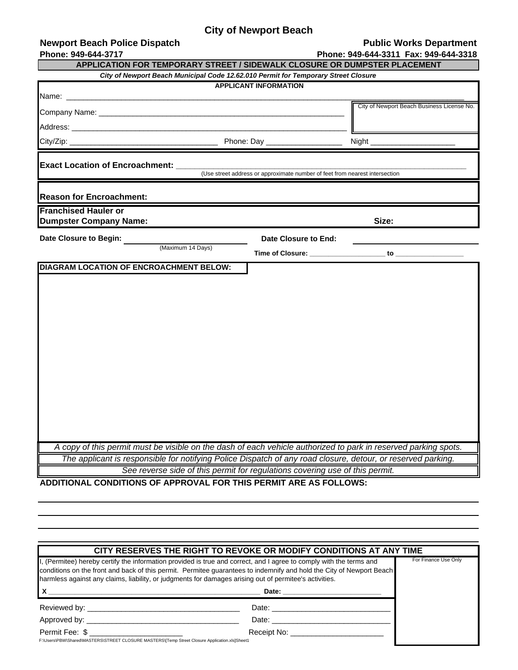## **City of Newport Beach**

| <b>Newport Beach Police Dispatch</b>                              |                                                                                    | <b>Public Works Department</b>                                                                                                                                                                                                 |
|-------------------------------------------------------------------|------------------------------------------------------------------------------------|--------------------------------------------------------------------------------------------------------------------------------------------------------------------------------------------------------------------------------|
| Phone: 949-644-3717                                               |                                                                                    | Phone: 949-644-3311 Fax: 949-644-3318                                                                                                                                                                                          |
|                                                                   |                                                                                    | APPLICATION FOR TEMPORARY STREET / SIDEWALK CLOSURE OR DUMPSTER PLACEMENT                                                                                                                                                      |
|                                                                   | City of Newport Beach Municipal Code 12.62.010 Permit for Temporary Street Closure |                                                                                                                                                                                                                                |
|                                                                   | <b>APPLICANT INFORMATION</b>                                                       |                                                                                                                                                                                                                                |
|                                                                   |                                                                                    | City of Newport Beach Business License No.                                                                                                                                                                                     |
|                                                                   |                                                                                    |                                                                                                                                                                                                                                |
| $City/Zip:$ _                                                     | Phone: Day                                                                         | Night $\_$                                                                                                                                                                                                                     |
| <b>Exact Location of Encroachment:</b>                            | (Use street address or approximate number of feet from nearest intersection        |                                                                                                                                                                                                                                |
| <b>Reason for Encroachment:</b>                                   |                                                                                    |                                                                                                                                                                                                                                |
| <b>Franchised Hauler or</b><br><b>Dumpster Company Name:</b>      |                                                                                    | Size:                                                                                                                                                                                                                          |
| Date Closure to Begin:                                            | Date Closure to End:                                                               |                                                                                                                                                                                                                                |
| (Maximum 14 Days)                                                 |                                                                                    | Time of Closure: to the contract of the contract of the contract of the contract of the contract of the contract of the contract of the contract of the contract of the contract of the contract of the contract of the contra |
| DIAGRAM LOCATION OF ENCROACHMENT BELOW:                           |                                                                                    |                                                                                                                                                                                                                                |
|                                                                   |                                                                                    |                                                                                                                                                                                                                                |
|                                                                   |                                                                                    |                                                                                                                                                                                                                                |
|                                                                   |                                                                                    |                                                                                                                                                                                                                                |
|                                                                   |                                                                                    |                                                                                                                                                                                                                                |
|                                                                   |                                                                                    |                                                                                                                                                                                                                                |
|                                                                   |                                                                                    |                                                                                                                                                                                                                                |
|                                                                   |                                                                                    |                                                                                                                                                                                                                                |
|                                                                   |                                                                                    |                                                                                                                                                                                                                                |
|                                                                   |                                                                                    |                                                                                                                                                                                                                                |
|                                                                   |                                                                                    |                                                                                                                                                                                                                                |
|                                                                   |                                                                                    |                                                                                                                                                                                                                                |
|                                                                   |                                                                                    |                                                                                                                                                                                                                                |
|                                                                   |                                                                                    |                                                                                                                                                                                                                                |
|                                                                   |                                                                                    |                                                                                                                                                                                                                                |
|                                                                   |                                                                                    |                                                                                                                                                                                                                                |
|                                                                   |                                                                                    |                                                                                                                                                                                                                                |
|                                                                   |                                                                                    | A copy of this permit must be visible on the dash of each vehicle authorized to park in reserved parking spots.                                                                                                                |
|                                                                   |                                                                                    | The applicant is responsible for notifying Police Dispatch of any road closure, detour, or reserved parking.                                                                                                                   |
|                                                                   | See reverse side of this permit for regulations covering use of this permit.       |                                                                                                                                                                                                                                |
| ADDITIONAL CONDITIONS OF APPROVAL FOR THIS PERMIT ARE AS FOLLOWS: |                                                                                    |                                                                                                                                                                                                                                |

**X \_\_\_\_\_\_\_\_\_\_\_\_\_\_\_\_\_\_\_\_\_\_\_\_\_\_\_\_\_\_\_\_\_\_\_\_\_\_\_\_\_\_\_\_\_\_\_\_\_\_\_\_\_\_\_\_ Date: \_\_\_\_\_\_\_\_\_\_\_\_\_\_\_\_\_\_\_\_\_\_\_\_\_\_** Reviewed by: \_\_\_\_\_\_\_\_\_\_\_\_\_\_\_\_\_\_\_\_\_\_\_\_\_\_\_\_\_\_\_\_\_\_\_\_ Approved by: \_\_\_\_\_\_\_\_\_\_\_\_\_\_\_\_\_\_\_\_\_\_\_\_\_\_\_\_\_\_\_\_\_\_\_\_ Permit Fee: \$ \_\_\_\_\_\_\_\_\_\_\_\_\_\_\_\_\_\_\_\_\_\_ Receipt No: \_\_\_\_\_\_\_\_\_\_\_\_\_\_\_\_\_\_\_\_\_\_ F:\Users\PBW\Shared\MASTERS\STREET CLOSURE MASTERS\[Temp Street Closure Application.xls]Sheet1 **CITY RESERVES THE RIGHT TO REVOKE OR MODIFY CONDITIONS AT ANY TIME** I, (Permitee) hereby certify the information provided is true and correct, and I agree to comply with the terms and conditions on the front and back of this permit. Permitee guarantees to indemnify and hold the City of Newport Beach harmless against any claims, liability, or judgments for damages arising out of permitee's activities. For Finance Use Only Date: \_\_\_\_\_\_\_\_\_\_\_\_\_\_\_\_\_\_\_\_\_\_\_\_\_\_\_\_ Date: \_\_\_\_\_\_\_\_\_\_\_\_\_\_\_\_\_\_\_\_\_\_\_\_\_\_\_\_